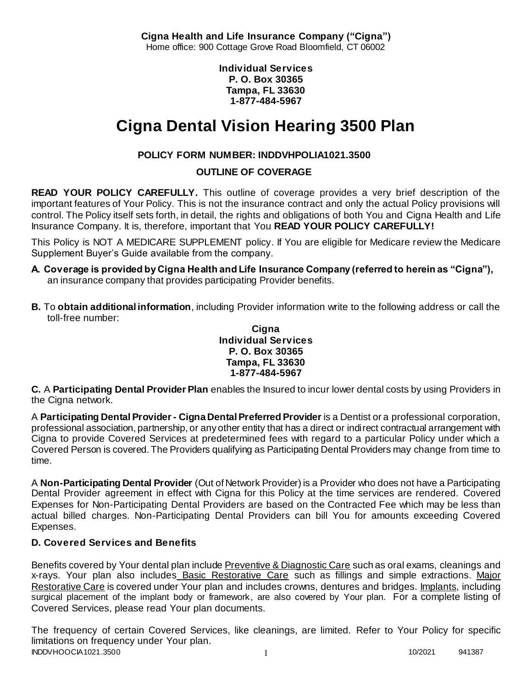**Cigna Health and Life Insurance Company ("Cigna")** Home office: 900 Cottage Grove Road Bloomfield, CT 06002

> **Individual Services P. O. Box 30365 Tampa, FL 33630 1-877-484-5967**

# **Cigna Dental Vision Hearing 3500 Plan**

# **POLICY FORM NUMBER: INDDVHPOLIA1021.3500**

# **OUTLINE OF COVERAGE**

**READ YOUR POLICY CAREFULLY.** This outline of coverage provides a very brief description of the important features of Your Policy. This is not the insurance contract and only the actual Policy provisions will control. The Policy itself sets forth, in detail, the rights and obligations of both You and Cigna Health and Life Insurance Company. It is, therefore, important that You **READ YOUR POLICY CAREFULLY!** 

This Policy is NOT A MEDICARE SUPPLEMENT policy. If You are eligible for Medicare review the Medicare Supplement Buyer's Guide available from the company.

- **A. Coverage is provided by Cigna Health and Life Insurance Company (referred to herein as "Cigna"),**  an insurance company that provides participating Provider benefits.
- **B.** To **obtain additional information**, including Provider information write to the following address or call the toll-free number:

#### **Cigna Individual Services P. O. Box 30365 Tampa, FL 33630 1-877-484-5967**

**C.** A **Participating Dental Provider Plan** enables the Insured to incur lower dental costs by using Providers in the Cigna network.

A **Participating Dental Provider - Cigna Dental Preferred Provider** is a Dentist or a professional corporation, professional association, partnership, or any other entity that has a direct or indirect contractual arrangement with Cigna to provide Covered Services at predetermined fees with regard to a particular Policy under which a Covered Person is covered. The Providers qualifying as Participating Dental Providers may change from time to time.

A **Non-Participating Dental Provider** (Out of Network Provider) is a Provider who does not have a Participating Dental Provider agreement in effect with Cigna for this Policy at the time services are rendered. Covered Expenses for Non-Participating Dental Providers are based on the Contracted Fee which may be less than actual billed charges. Non-Participating Dental Providers can bill You for amounts exceeding Covered Expenses.

# **D. Covered Services and Benefits**

Benefits covered by Your dental plan include Preventive & Diagnostic Care such as oral exams, cleanings and x-rays. Your plan also includes Basic Restorative Care such as fillings and simple extractions. Major Restorative Care is covered under Your plan and includes crowns, dentures and bridges. Implants, including surgical placement of the implant body or framework, are also covered by Your plan. For a complete listing of Covered Services, please read Your plan documents.

INDDVHOOCIA1021.3500 1 10/2021 941387 The frequency of certain Covered Services, like cleanings, are limited. Refer to Your Policy for specific limitations on frequency under Your plan.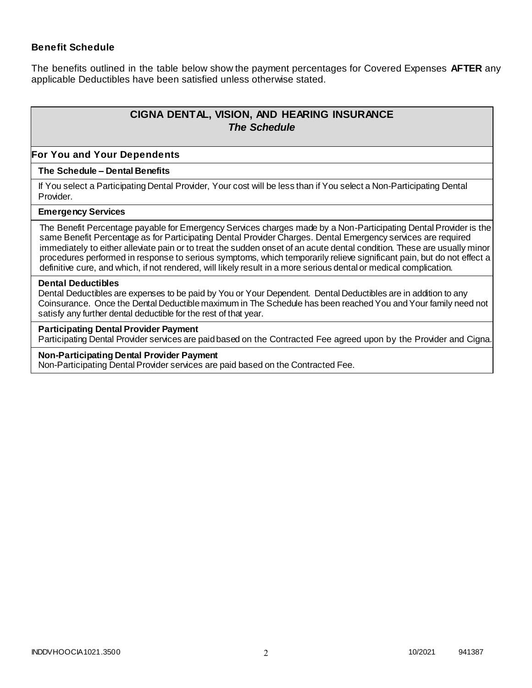### **Benefit Schedule**

The benefits outlined in the table below show the payment percentages for Covered Expenses **AFTER** any applicable Deductibles have been satisfied unless otherwise stated.

# **CIGNA DENTAL, VISION, AND HEARING INSURANCE** *The Schedule*

#### **For You and Your Dependents**

#### **The Schedule – Dental Benefits**

If You select a Participating Dental Provider, Your cost will be less than if You select a Non-Participating Dental Provider.

#### **Emergency Services**

The Benefit Percentage payable for Emergency Services charges made by a Non-Participating Dental Provider is the same Benefit Percentage as for Participating Dental Provider Charges. Dental Emergency services are required immediately to either alleviate pain or to treat the sudden onset of an acute dental condition. These are usually minor procedures performed in response to serious symptoms, which temporarily relieve significant pain, but do not effect a definitive cure, and which, if not rendered, will likely result in a more serious dental or medical complication.

#### **Dental Deductibles**

Dental Deductibles are expenses to be paid by You or Your Dependent. Dental Deductibles are in addition to any Coinsurance. Once the Dental Deductible maximum in The Schedule has been reached You and Your family need not satisfy any further dental deductible for the rest of that year.

#### **Participating Dental Provider Payment**

Participating Dental Provider services are paid based on the Contracted Fee agreed upon by the Provider and Cigna.

#### **Non-Participating Dental Provider Payment**

Non-Participating Dental Provider services are paid based on the Contracted Fee.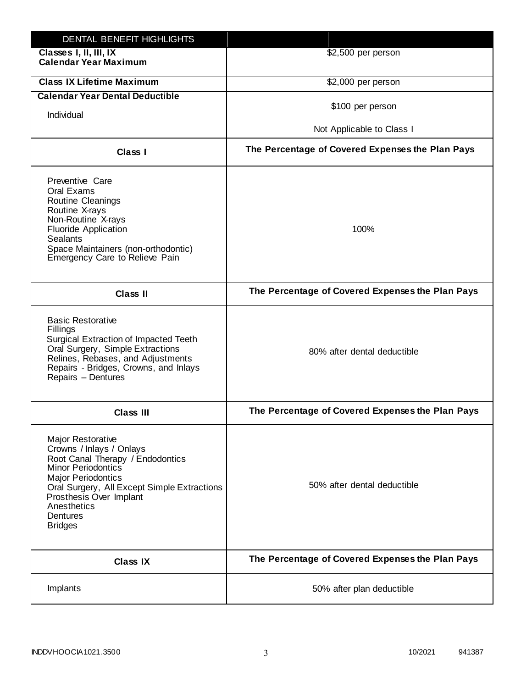| DENTAL BENEFIT HIGHLIGHTS                                                                                                                                                                                                                                                 |                                                  |
|---------------------------------------------------------------------------------------------------------------------------------------------------------------------------------------------------------------------------------------------------------------------------|--------------------------------------------------|
| Classes I, II, III, IX<br><b>Calendar Year Maximum</b>                                                                                                                                                                                                                    | \$2,500 per person                               |
| <b>Class IX Lifetime Maximum</b>                                                                                                                                                                                                                                          | \$2,000 per person                               |
| <b>Calendar Year Dental Deductible</b>                                                                                                                                                                                                                                    |                                                  |
| Individual                                                                                                                                                                                                                                                                | \$100 per person                                 |
|                                                                                                                                                                                                                                                                           | Not Applicable to Class I                        |
| <b>Class I</b>                                                                                                                                                                                                                                                            | The Percentage of Covered Expenses the Plan Pays |
| Preventive Care<br>Oral Exams<br>Routine Cleanings<br>Routine X-rays<br>Non-Routine X-rays<br><b>Fluoride Application</b><br><b>Sealants</b><br>Space Maintainers (non-orthodontic)<br>Emergency Care to Relieve Pain                                                     | 100%                                             |
| <b>Class II</b>                                                                                                                                                                                                                                                           | The Percentage of Covered Expenses the Plan Pays |
| <b>Basic Restorative</b><br>Fillings<br>Surgical Extraction of Impacted Teeth<br>Oral Surgery, Simple Extractions<br>Relines, Rebases, and Adjustments<br>Repairs - Bridges, Crowns, and Inlays<br>Repairs - Dentures                                                     | 80% after dental deductible                      |
| <b>Class III</b>                                                                                                                                                                                                                                                          | The Percentage of Covered Expenses the Plan Pays |
| <b>Major Restorative</b><br>Crowns / Inlays / Onlays<br>Root Canal Therapy / Endodontics<br><b>Minor Periodontics</b><br><b>Major Periodontics</b><br>Oral Surgery, All Except Simple Extractions<br>Prosthesis Over Implant<br>Anesthetics<br>Dentures<br><b>Bridges</b> | 50% after dental deductible                      |
| <b>Class IX</b>                                                                                                                                                                                                                                                           | The Percentage of Covered Expenses the Plan Pays |
| Implants                                                                                                                                                                                                                                                                  | 50% after plan deductible                        |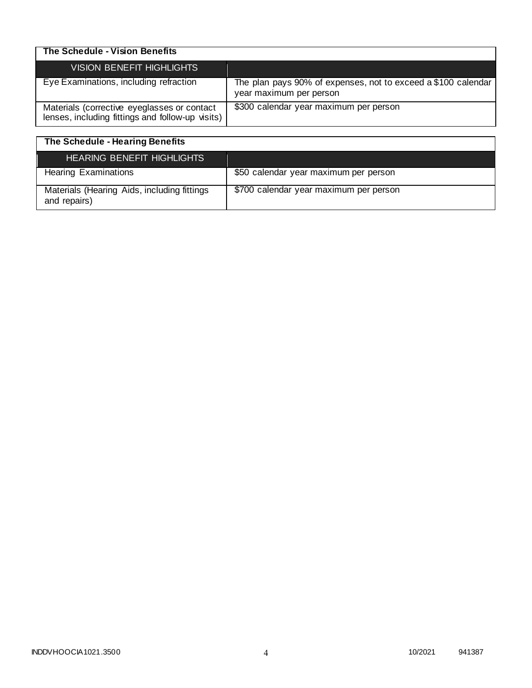| The Schedule - Vision Benefits                                                                  |                                                                                          |
|-------------------------------------------------------------------------------------------------|------------------------------------------------------------------------------------------|
| VISION BENEFIT HIGHLIGHTS                                                                       |                                                                                          |
| Eye Examinations, including refraction                                                          | The plan pays 90% of expenses, not to exceed a \$100 calendar<br>year maximum per person |
| Materials (corrective eyeglasses or contact<br>lenses, including fittings and follow-up visits) | \$300 calendar year maximum per person                                                   |

| The Schedule - Hearing Benefits                             |                                        |
|-------------------------------------------------------------|----------------------------------------|
| <b>HEARING BENEFIT HIGHLIGHTS</b>                           |                                        |
| <b>Hearing Examinations</b>                                 | \$50 calendar year maximum per person  |
| Materials (Hearing Aids, including fittings<br>and repairs) | \$700 calendar year maximum per person |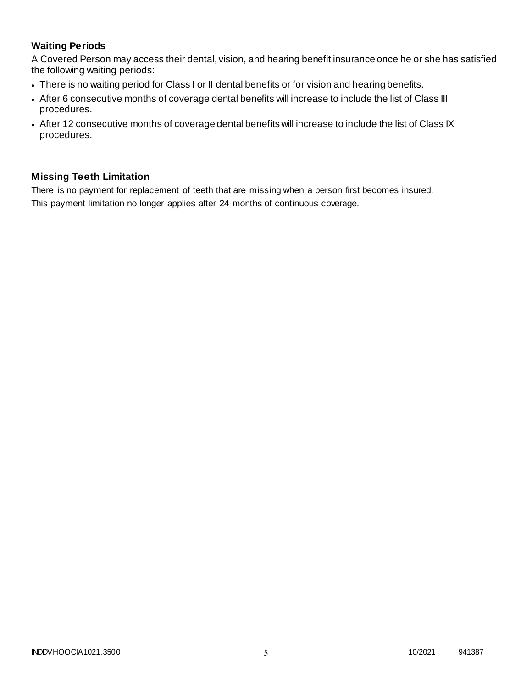# **Waiting Periods**

A Covered Person may access their dental, vision, and hearing benefit insurance once he or she has satisfied the following waiting periods:

- There is no waiting period for Class I or II dental benefits or for vision and hearing benefits.
- After 6 consecutive months of coverage dental benefits will increase to include the list of Class III procedures.
- After 12 consecutive months of coverage dental benefits will increase to include the list of Class IX procedures.

### **Missing Teeth Limitation**

There is no payment for replacement of teeth that are missing when a person first becomes insured. This payment limitation no longer applies after 24 months of continuous coverage.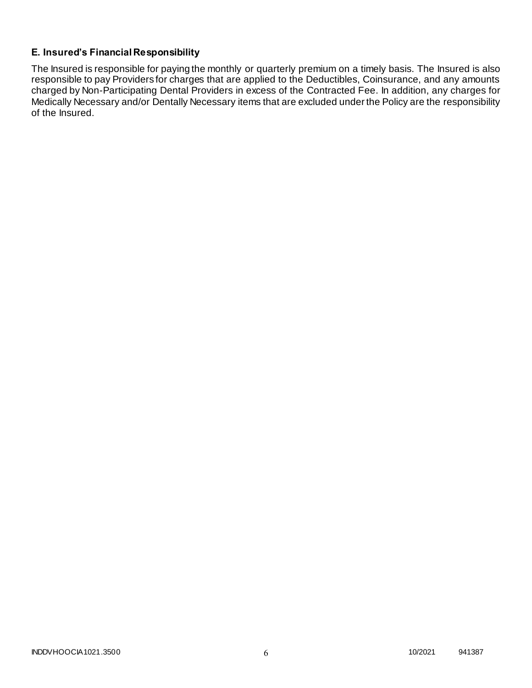# **E. Insured's Financial Responsibility**

The Insured is responsible for paying the monthly or quarterly premium on a timely basis. The Insured is also responsible to pay Providers for charges that are applied to the Deductibles, Coinsurance, and any amounts charged by Non-Participating Dental Providers in excess of the Contracted Fee. In addition, any charges for Medically Necessary and/or Dentally Necessary items that are excluded under the Policy are the responsibility of the Insured.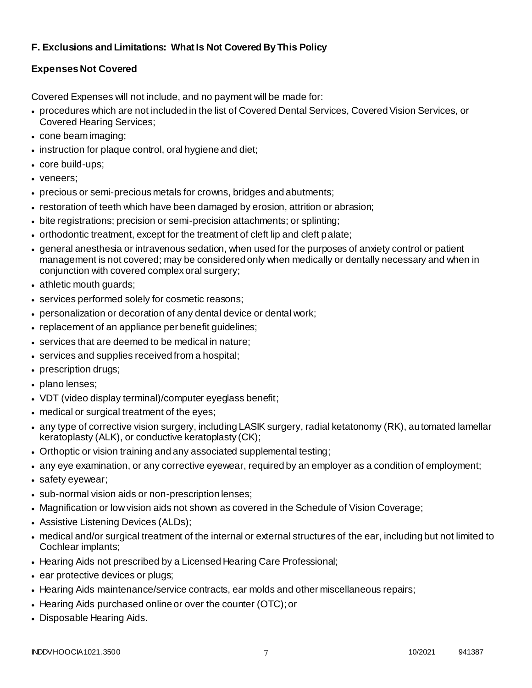# **F. Exclusions and Limitations: What Is Not Covered By This Policy**

# **Expenses Not Covered**

Covered Expenses will not include, and no payment will be made for:

- procedures which are not included in the list of Covered Dental Services, Covered Vision Services, or Covered Hearing Services;
- cone beam imaging;
- instruction for plaque control, oral hygiene and diet;
- core build-ups;
- veneers;
- precious or semi-precious metals for crowns, bridges and abutments;
- restoration of teeth which have been damaged by erosion, attrition or abrasion;
- bite registrations; precision or semi-precision attachments; or splinting;
- orthodontic treatment, except for the treatment of cleft lip and cleft palate;
- general anesthesia or intravenous sedation, when used for the purposes of anxiety control or patient management is not covered; may be considered only when medically or dentally necessary and when in conjunction with covered complex oral surgery;
- athletic mouth guards;
- services performed solely for cosmetic reasons;
- personalization or decoration of any dental device or dental work;
- replacement of an appliance per benefit guidelines;
- services that are deemed to be medical in nature;
- services and supplies received from a hospital;
- prescription drugs;
- plano lenses;
- VDT (video display terminal)/computer eyeglass benefit;
- medical or surgical treatment of the eyes;
- any type of corrective vision surgery, including LASIK surgery, radial ketatonomy (RK), automated lamellar keratoplasty (ALK), or conductive keratoplasty (CK);
- Orthoptic or vision training and any associated supplemental testing;
- any eye examination, or any corrective eyewear, required by an employer as a condition of employment;
- safety eyewear;
- sub-normal vision aids or non-prescription lenses;
- Magnification or low vision aids not shown as covered in the Schedule of Vision Coverage;
- Assistive Listening Devices (ALDs);
- medical and/or surgical treatment of the internal or external structures of the ear, including but not limited to Cochlear implants;
- Hearing Aids not prescribed by a Licensed Hearing Care Professional;
- ear protective devices or plugs;
- Hearing Aids maintenance/service contracts, ear molds and other miscellaneous repairs;
- Hearing Aids purchased online or over the counter (OTC); or
- Disposable Hearing Aids.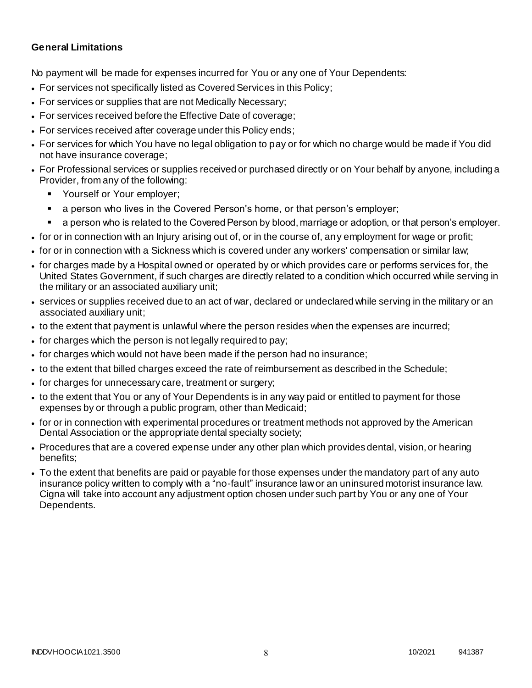### **General Limitations**

No payment will be made for expenses incurred for You or any one of Your Dependents:

- For services not specifically listed as Covered Services in this Policy;
- For services or supplies that are not Medically Necessary;
- For services received before the Effective Date of coverage;
- For services received after coverage under this Policy ends;
- For services for which You have no legal obligation to pay or for which no charge would be made if You did not have insurance coverage;
- For Professional services or supplies received or purchased directly or on Your behalf by anyone, including a Provider, from any of the following:
	- Yourself or Your employer;
	- a person who lives in the Covered Person's home, or that person's employer;
	- a person who is related to the Covered Person by blood, marriage or adoption, or that person's employer.
- for or in connection with an Injury arising out of, or in the course of, any employment for wage or profit;
- for or in connection with a Sickness which is covered under any workers' compensation or similar law;
- for charges made by a Hospital owned or operated by or which provides care or performs services for, the United States Government, if such charges are directly related to a condition which occurred while serving in the military or an associated auxiliary unit;
- services or supplies received due to an act of war, declared or undeclared while serving in the military or an associated auxiliary unit;
- to the extent that payment is unlawful where the person resides when the expenses are incurred;
- for charges which the person is not legally required to pay;
- for charges which would not have been made if the person had no insurance;
- to the extent that billed charges exceed the rate of reimbursement as described in the Schedule;
- for charges for unnecessary care, treatment or surgery;
- to the extent that You or any of Your Dependents is in any way paid or entitled to payment for those expenses by or through a public program, other than Medicaid;
- for or in connection with experimental procedures or treatment methods not approved by the American Dental Association or the appropriate dental specialty society;
- Procedures that are a covered expense under any other plan which provides dental, vision, or hearing benefits;
- To the extent that benefits are paid or payable for those expenses under the mandatory part of any auto insurance policy written to comply with a "no-fault" insurance law or an uninsured motorist insurance law. Cigna will take into account any adjustment option chosen under such part by You or any one of Your Dependents.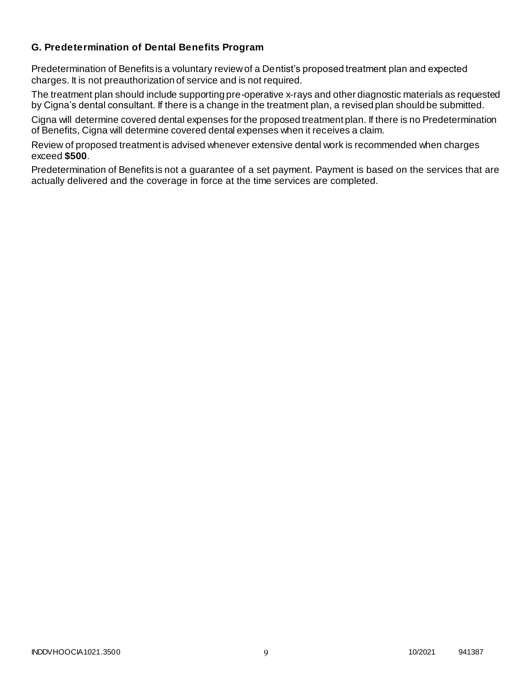### **G. Predetermination of Dental Benefits Program**

Predetermination of Benefits is a voluntary review of a Dentist's proposed treatment plan and expected charges. It is not preauthorization of service and is not required.

The treatment plan should include supporting pre-operative x-rays and other diagnostic materials as requested by Cigna's dental consultant. If there is a change in the treatment plan, a revised plan should be submitted.

Cigna will determine covered dental expenses for the proposed treatment plan. If there is no Predetermination of Benefits, Cigna will determine covered dental expenses when it receives a claim.

Review of proposed treatment is advised whenever extensive dental work is recommended when charges exceed **\$500**.

Predetermination of Benefits is not a guarantee of a set payment. Payment is based on the services that are actually delivered and the coverage in force at the time services are completed.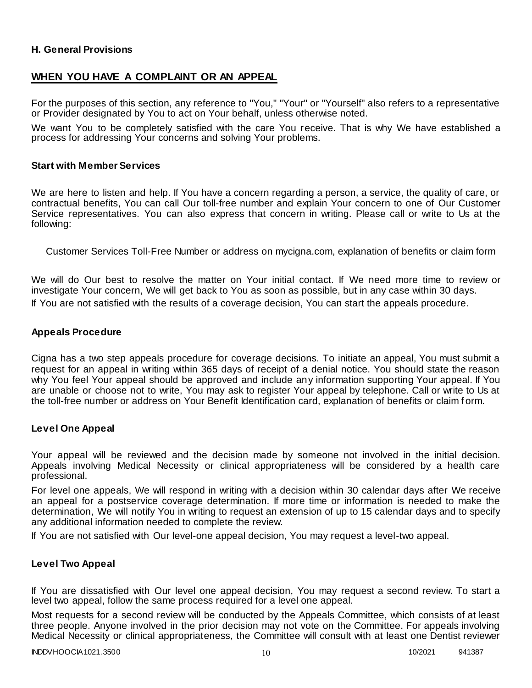### **H. General Provisions**

### **WHEN YOU HAVE A COMPLAINT OR AN APPEAL**

For the purposes of this section, any reference to "You," "Your" or "Yourself" also refers to a representative or Provider designated by You to act on Your behalf, unless otherwise noted.

We want You to be completely satisfied with the care You receive. That is why We have established a process for addressing Your concerns and solving Your problems.

#### **Start with Member Services**

We are here to listen and help. If You have a concern regarding a person, a service, the quality of care, or contractual benefits, You can call Our toll-free number and explain Your concern to one of Our Customer Service representatives. You can also express that concern in writing. Please call or write to Us at the following:

Customer Services Toll-Free Number or address on mycigna.com, explanation of benefits or claim form

We will do Our best to resolve the matter on Your initial contact. If We need more time to review or investigate Your concern, We will get back to You as soon as possible, but in any case within 30 days. If You are not satisfied with the results of a coverage decision, You can start the appeals procedure.

#### **Appeals Procedure**

Cigna has a two step appeals procedure for coverage decisions. To initiate an appeal, You must submit a request for an appeal in writing within 365 days of receipt of a denial notice. You should state the reason why You feel Your appeal should be approved and include any information supporting Your appeal. If You are unable or choose not to write, You may ask to register Your appeal by telephone. Call or write to Us at the toll-free number or address on Your Benefit Identification card, explanation of benefits or claim f orm.

#### **Level One Appeal**

Your appeal will be reviewed and the decision made by someone not involved in the initial decision. Appeals involving Medical Necessity or clinical appropriateness will be considered by a health care professional.

For level one appeals, We will respond in writing with a decision within 30 calendar days after We receive an appeal for a postservice coverage determination. If more time or information is needed to make the determination, We will notify You in writing to request an extension of up to 15 calendar days and to specify any additional information needed to complete the review.

If You are not satisfied with Our level-one appeal decision, You may request a level-two appeal.

#### **Level Two Appeal**

If You are dissatisfied with Our level one appeal decision, You may request a second review. To start a level two appeal, follow the same process required for a level one appeal.

Most requests for a second review will be conducted by the Appeals Committee, which consists of at least three people. Anyone involved in the prior decision may not vote on the Committee. For appeals involving Medical Necessity or clinical appropriateness, the Committee will consult with at least one Dentist reviewer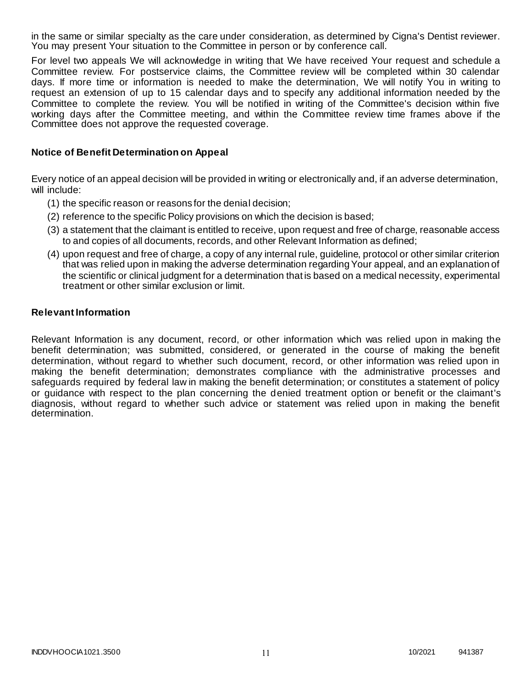in the same or similar specialty as the care under consideration, as determined by Cigna's Dentist reviewer. You may present Your situation to the Committee in person or by conference call.

For level two appeals We will acknowledge in writing that We have received Your request and schedule a Committee review. For postservice claims, the Committee review will be completed within 30 calendar days. If more time or information is needed to make the determination, We will notify You in writing to request an extension of up to 15 calendar days and to specify any additional information needed by the Committee to complete the review. You will be notified in writing of the Committee's decision within five working days after the Committee meeting, and within the Committee review time frames above if the Committee does not approve the requested coverage.

#### **Notice of Benefit Determination on Appeal**

Every notice of an appeal decision will be provided in writing or electronically and, if an adverse determination, will include:

- (1) the specific reason or reasons for the denial decision;
- (2) reference to the specific Policy provisions on which the decision is based;
- (3) a statement that the claimant is entitled to receive, upon request and free of charge, reasonable access to and copies of all documents, records, and other Relevant Information as defined;
- (4) upon request and free of charge, a copy of any internal rule, guideline, protocol or other similar criterion that was relied upon in making the adverse determination regarding Your appeal, and an explanation of the scientific or clinical judgment for a determination that is based on a medical necessity, experimental treatment or other similar exclusion or limit.

#### **Relevant Information**

Relevant Information is any document, record, or other information which was relied upon in making the benefit determination; was submitted, considered, or generated in the course of making the benefit determination, without regard to whether such document, record, or other information was relied upon in making the benefit determination; demonstrates compliance with the administrative processes and safeguards required by federal law in making the benefit determination; or constitutes a statement of policy or guidance with respect to the plan concerning the denied treatment option or benefit or the claimant's diagnosis, without regard to whether such advice or statement was relied upon in making the benefit determination.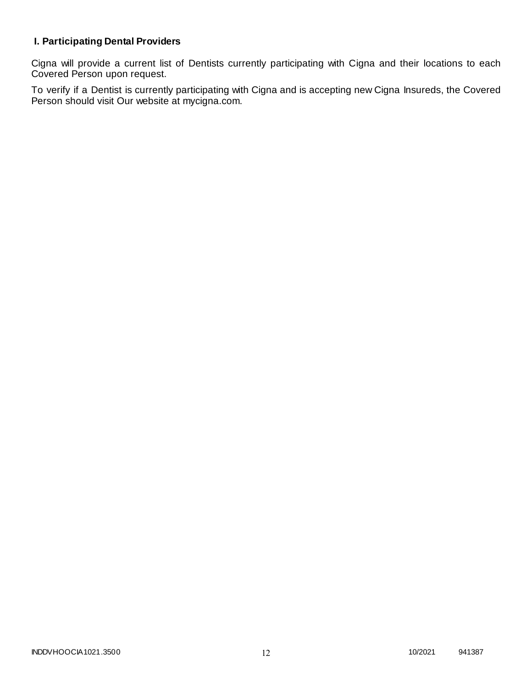# **I. Participating Dental Providers**

Cigna will provide a current list of Dentists currently participating with Cigna and their locations to each Covered Person upon request.

To verify if a Dentist is currently participating with Cigna and is accepting new Cigna Insureds, the Covered Person should visit Our website at mycigna.com.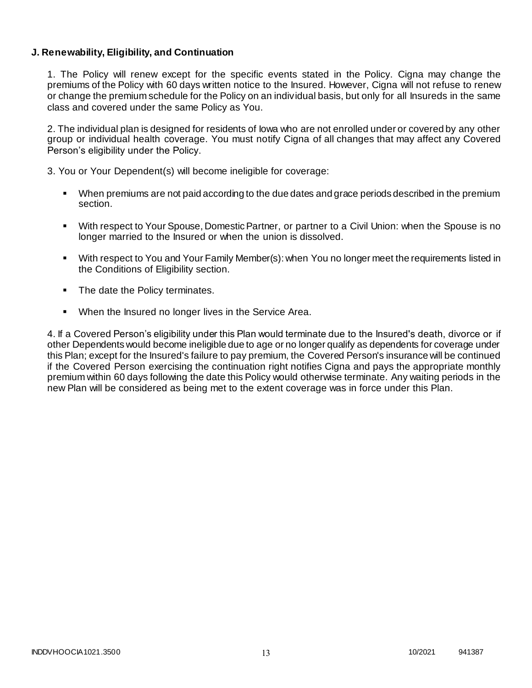### **J. Renewability, Eligibility, and Continuation**

1. The Policy will renew except for the specific events stated in the Policy. Cigna may change the premiums of the Policy with 60 days written notice to the Insured. However, Cigna will not refuse to renew or change the premium schedule for the Policy on an individual basis, but only for all Insureds in the same class and covered under the same Policy as You.

2. The individual plan is designed for residents of Iowa who are not enrolled under or covered by any other group or individual health coverage. You must notify Cigna of all changes that may affect any Covered Person's eligibility under the Policy.

3. You or Your Dependent(s) will become ineligible for coverage:

- When premiums are not paid according to the due dates and grace periods described in the premium section.
- With respect to Your Spouse, Domestic Partner, or partner to a Civil Union: when the Spouse is no longer married to the Insured or when the union is dissolved.
- With respect to You and Your Family Member(s): when You no longer meet the requirements listed in the Conditions of Eligibility section.
- The date the Policy terminates.
- When the Insured no longer lives in the Service Area.

4. If a Covered Person's eligibility under this Plan would terminate due to the Insured's death, divorce or if other Dependents would become ineligible due to age or no longer qualify as dependents for coverage under this Plan; except for the Insured's failure to pay premium, the Covered Person's insurance will be continued if the Covered Person exercising the continuation right notifies Cigna and pays the appropriate monthly premium within 60 days following the date this Policy would otherwise terminate. Any waiting periods in the new Plan will be considered as being met to the extent coverage was in force under this Plan.